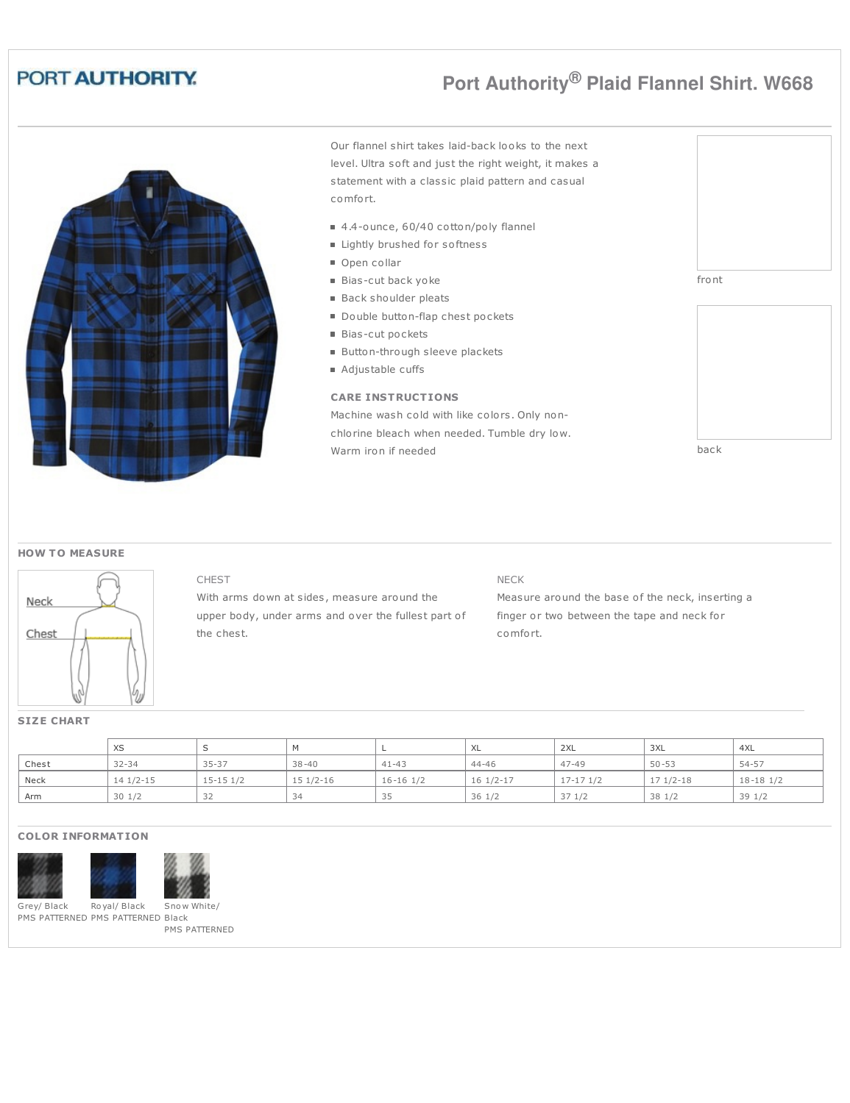## PORT AUTHORITY.

# **Port Authority® Plaid Flannel Shirt. W668**



Our flannel shirt takes laid-back looks to the next level. Ultra soft and just the right weight, it makes a statement with a classic plaid pattern and casual comfort.

- 4.4-ounce, 60/40 cotton/poly flannel
- **E** Lightly brushed for softness
- Open collar
- Bias-cut back yoke
- Back shoulder pleats
- Double button-flap chest pockets
- Bias-cut pockets
- Button-through sleeve plackets
- Adjustable cuffs

## **CARE INSTRUCTIONS**

Machine wash cold with like colors. Only nonchlorine bleach when needed. Tumble dry low. Warm iron if needed



## **HOW T O MEASURE**



### CHEST

With arms down at sides, measure around the upper body, under arms and over the fullest part of the chest.

## NECK

Measure around the base of the neck, inserting a finger or two between the tape and neck for comfort.

## **SIZE CHART**

|       | XS         |               |            |                 | XL                    | 2XL           | 3XL        | 4XL             |
|-------|------------|---------------|------------|-----------------|-----------------------|---------------|------------|-----------------|
| Chest | $32 - 34$  | $35 - 37$     | $38 - 40$  | $41 - 43$       | 44-46                 | $47 - 49$     | $50 - 53$  | 54-57           |
| Neck  | $141/2-15$ | $15-15$ $1/2$ | $151/2-16$ | $16 - 16$ $1/2$ | $16 \frac{1}{2} - 17$ | $17-17$ $1/2$ | $171/2-18$ | $18 - 18$ $1/2$ |
| Arm   | 301/2      |               | ₹Δ         | $\sim$ $\sim$   | $36 \frac{1}{2}$      | 371/2         | 38 1/2     | 391/2           |

## **COLOR INFORMATION**





Grey/ Black PMS PATTERNED PMS PATTERNED Black Ro yal/ Black

Sno w White/ PMS PATTERNED